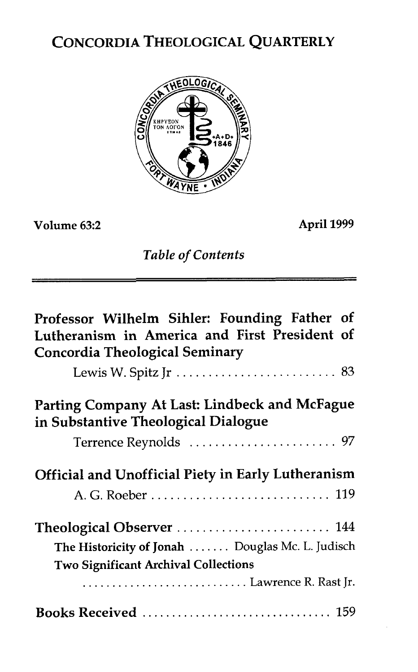# CONCORDIA THEOLOGICAL QUARTERLY



**Volume 63:2 April 1999** 

*Table of Contents* 

| Professor Wilhelm Sihler: Founding Father of<br>Lutheranism in America and First President of<br><b>Concordia Theological Seminary</b> |
|----------------------------------------------------------------------------------------------------------------------------------------|
|                                                                                                                                        |
| Parting Company At Last: Lindbeck and McFague<br>in Substantive Theological Dialogue                                                   |
|                                                                                                                                        |
| <b>Official and Unofficial Piety in Early Lutheranism</b>                                                                              |
|                                                                                                                                        |
|                                                                                                                                        |
| The Historicity of Jonah  Douglas Mc. L. Judisch                                                                                       |
| <b>Two Significant Archival Collections</b>                                                                                            |
| Lawrence R. Rast Jr.                                                                                                                   |
|                                                                                                                                        |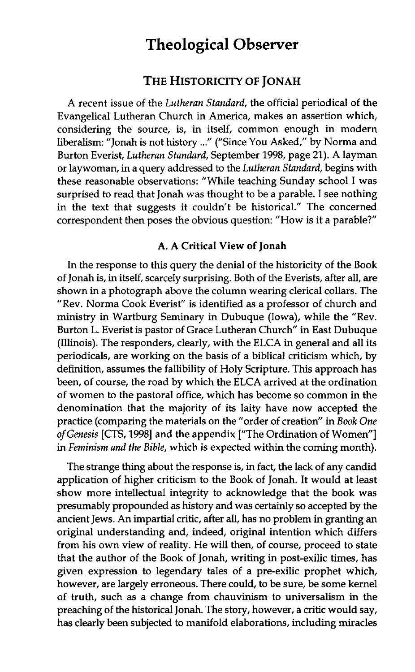# **Theological Observer**

## THE HISTORICITY OF JONAH

A recent issue of the Lutheran Standard, the official periodical of the Evangelical Lutheran Church in America, makes an assertion which, considering the source, is, in itself, common enough in modern liberalism: "Jonah is not history ..." ("Since You Asked," by Norma and Burton Everist, Lutheran Standard, September 1998, page 21). A layman or laywoman, in a query addressed to the Lutheran Standard, **begins** with these reasonable observations: "While teaching Sunday school I was surprised to read that Jonah was thought to be a parable. I see nothing in the text that suggests it couldn't be historical." The concerned correspondent then poses the obvious question: "How is it a parable?"

#### **A. A Critical View of Jonah**

In the response to this query the denial of the historicity of the Book of Jonah is, in itself, scarcely surprising. Both of the Everists, after all, are shown in a photograph above the column wearing clerical collars. The "Rev. Norma Cook Everist" is identified as a professor of church and ministry in Wartburg Seminary in Dubuque (Iowa), while the "Rev. Burton L. Everist is pastor of Grace Lutheran Church" in East Dubuque (Illinois). The responders, clearly, with the ELCA in general and all its periodicals, are working on the basis of a biblical criticism which, by definition, assumes the fallibility of Holy Scripture. This approach has been, of course, the road by which the ELCA arrived at the ordination of women to the pastoral office, which has become so common in the denomination that the majority of its laity have now accepted the practice (comparing the materials on the "order of creation" in Book One of Genesis [CTS, 1998] and the appendix ["The Ordination of Women"] in Feminism and the Bible, which is expected within the coming month).

The strange thing about the response is, in fact, the lack of any candid application of higher criticism to the Book of Jonah. It would at least show more intellectual integrity to acknowledge that the book was presumably propounded as history and was certainly so accepted by the ancient Jews. An impartial critic, after all, has no problem in granting an original understanding and, indeed, original intention which differs from his own view of reality. He will then, of course, proceed to state that the author of the Book of Jonah, writing in post-exilic times, has given expression to legendary tales of a pre-exilic prophet which, however, are largely erroneous. There could, to be sure, be some kernel of truth, such as a change from chauvinism to universalism in the preaching of the historical Jonah. The story, however, a critic would say, has clearly been subjected to manifold elaborations, including miracles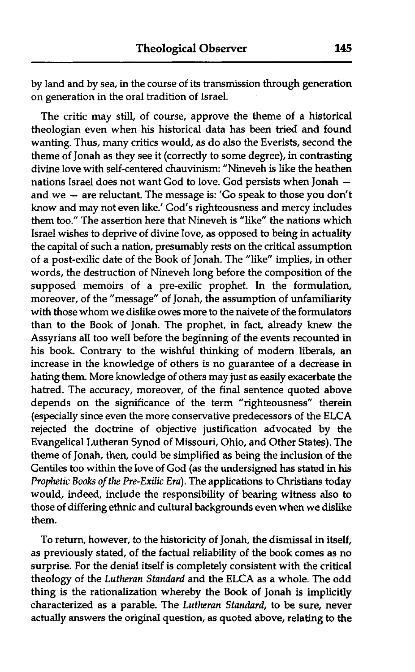by land and by sea, in the course of its transmission through generation on generation in the oral tradition of Israel.

The critic may still, of course, approve the theme of a historical theologian even when his historical data has been tried and found wanting. Thus, many critics would, as do also the Everists, second the theme of Jonah as they see it (correctly to some degree), in contrasting divine love with self-centered chauvinism: "Nineveh is like the heathen nations Israel does not want God to love. God persists when Jonah and we  $-$  are reluctant. The message is: 'Go speak to those you don't know and may not even like.' God's righteousness and mercy includes them too." The assertion here that Nineveh is "like" the nations which Israel wishes to deprive of divine love, as opposed to being in actuality the capital of such a nation, presumably rests on the critical assumption of a post-exilic date of the Book of Jonah. The "like" implies, in other words, the destruction of Nineveh long before the composition of the supposed memoirs of a pre-exilic prophet. In the formulation, moreover, of the "message" of Jonah, the assumption of unfamiliarity with those whom we dislike owes more to the naivete of the formulators than to the Book of Jonah. The prophet, in fact, already knew the Assyrians all too well before the beginning of the events recounted in his book. Contrary to the wishful thinking of modern liberals, an increase in the knowledge of others is no guarantee of a decrease in hating them. More knowledge of others may just as easily exacerbate the hatred. The accuracy, moreover, of the final sentence quoted above depends on the significance of the term "righteousness" therein (especially since even the more conservative predecessors of the ELCA rejected the doctrine of objective justification advocated by the Evangelical Lutheran Synod of Missouri, Ohio, and Other States). The theme of Jonah, then, could be simplified as being the inclusion of the Gentiles too within the love of God (as the undersigned has stated in his Prophetic Books of the Pre-Exilic Era). The applications to Christians today would, indeed, include the responsibility of bearing witness also to those of differing ethnic and cultural backgrounds even when we dislike them.

To return, however, to the historicity of Jonah, the dismissal in itself, as previously stated, of the factual reliability of the book comes as no surprise. For the denial itself is completely consistent with the critical theology of the Lutheran Standard and the ELCA as a whole. The odd thing is the rationalization whereby the Book of Jonah is implicitly characterized as a parable. The Lutheran Standard, to be sure, never actually answers the original question, as quoted above, relating to the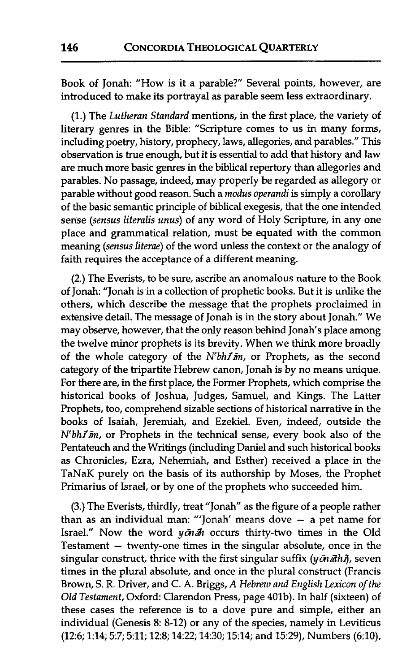Book of Jonah: "How is it a parable?" Several points, however, are introduced to make its portrayal as parable seem less extraordinary.

(1.) The Lutheran Standard mentions, in the first place, the variety of literary genres in the Bible: "Scripture comes to us in many forms, including poetry, history, prophecy, laws, allegories, and parables." This observation is true enough, but it is essential to add that history and law are much more basic genres in the biblical repertory than allegories and parables. No passage, indeed, may properly be regarded as allegory or parable without good reason. Such a modus operandi is simply a corollary of the basic semantic principle of biblical exegesis, that the one intended sense (sensus literalis unus) of any word of Holy Scripture, in any one place and grammatical relation, must be equated with the common meaning (sensus literae) of the word unless the context or the analogy of faith requires the acceptance of a different meaning.

**(2.)** The Everists, to be sure, ascribe an anomalous nature to the Book of Jonah: "Jonah is in a collection of prophetic books. But it is unlike the others, which describe the message that the prophets proclaimed in extensive detail. The message of Jonah is in the story about Jonah." We may observe, however, that the only reason behind Jonah's place among the twelve minor prophets is its brevity. When we think more broadly of the whole category of the  $N^{\prime}bh\tilde{I}m$ , or Prophets, as the second category of the tripartite Hebrew canon, Jonah is by no means unique. For there are, in the first place, the Former Prophets, which comprise the historical books of Joshua, Judges, Samuel, and Kings. The Latter Prophets, too, comprehend sizable sections of historical narrative in the books of Isaiah, Jeremiah, and Ezekiel. Even, indeed, outside the  $N^e bh1\bar{m}$ , or Prophets in the technical sense, every book also of the Pentateuch and the Writings (including Daniel and such historical books as Chronicles, Ezra, Nehemiah, and Esther) received a place in the TaNaK purely on the basis of its authorship by Moses, the Prophet Primarius of Israel, or by one of the prophets who succeeded him.

(3.) The Everists, thirdly, treat "Jonah" as the figure of a people rather than as an individual man: "'Jonah' means dove - a pet name for Israel." Now the word  $y\bar{\phi}n\bar{\phi}h$  occurs thirty-two times in the Old Testament  $-$  twenty-one times in the singular absolute, once in the singular construct, thrice with the first singular suffix  $(y\bar{a}n\bar{a}h\tilde{b})$ , seven times in the plural absolute, and once in the plural construct (Francis Brown, S. R. Driver, and C. A. Briggs, A Hebrew and English Lexicon of the Old Testament, Oxford: Clarendon Press, page 401b). In half (sixteen) of these cases the reference is to a dove pure and simple, either an individual (Genesis 8: 8-12) or any of the species, namely in Leviticus (126; 1:14; 5:7; 5:11; 128; 1422; 14:30; 15:14; and 15:29), Numbers (6:10),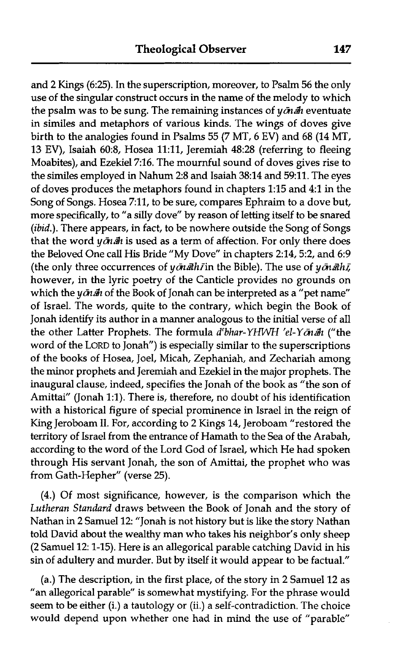and **2** Kings (6:25). In the superscription, moreover, to Psalm 56 the only use of the singular construct occurs in the name of the melody to which the psalm was to be sung. The remaining instances of  $y\bar{a}n\bar{a}n$  eventuate in similes and metaphors of various kinds. The wings of doves give birth to the analogies found in Psalms 55 **(7** MT, 6 EV) and 68 (14 MT, 13 EV), Isaiah 6023, Hosea 11:11, Jeremiah 48:28 (referring to fleeing Moabites), and Ezekiel 716. The mournful sound of doves gives rise to the similes employed in Nahum 2:8 and Isaiah 38:14 and 59:11. The eyes of doves produces the metaphors found in chapters 1:15 and 4:l in the Song of Songs. Hosea 711, to be sure, compares Ephraim to a dove but, more specifically, to "a silly dove" by reason of letting itself to be snared (*ibid.*). There appears, in fact, to be nowhere outside the Song of Songs that the word  $y\bar{g}$  *in a* $h$  is used as a term of affection. For only there does the Beloved One call His Bride "My Dove" in chapters 2:14,5:2, and 6:9 (the only three occurrences of  $y\bar{a}n\bar{a}th\bar{f}$  in the Bible). The use of  $y\bar{a}n\bar{a}th\bar{f}$ , however, in the lyric poetry of the Canticle provides no grounds on which the  $y\bar{a}$   $\bar{a}$  of the Book of Jonah can be interpreted as a "pet name" of Israel. The words, quite to the contrary, which begin the Book of Jonah identify its author in a manner analogous to the initial verse of all the other Latter Prophets. The formula d<sup>e</sup>bhar-YHWH 'el-Y $\bar{c}n$  and ("the word of the LORD to Jonah") is especially similar to the superscriptions of the books of Hosea, Joel, Micah, Zephaniah, and Zechariah among the minor prophets and Jeremiah and Ezekiel in the major prophets. The inaugural clause, indeed, specifies the Jonah of the book as "the son of Amittai" (Jonah 1:l). There is, therefore, no doubt of his identification with a historical figure of special prominence in Israel in the reign of King Jeroboam 11. For, according to 2 Kings 14, Jeroboam "restored the territory of Israel from the entrance of Hamath to the Sea of the Arabah, according to the word of the Lord God of Israel, which He had spoken through His servant Jonah, the son of Amittai, the prophet who was from Gath-Hepher" (verse 25).

(4.) Of most significance, however, is the comparison which the Lutheran Standard draws between the Book of Jonah and the story of Nathan in 2 Samuel 12: "Jonah is not history but is like the story Nathan told David about the wealthy man who takes his neighbor's only sheep (2 Samuel 12: 1-15). Here is an allegorical parable catching David in his sin of adultery and murder. But by itself it would appear to be factual."

(a.) The description, in the first place, of the story in 2 Samuel 12 as "an allegorical parable" is somewhat mystifying. For the phrase would seem to be either (i.) a tautology or (ii.) a self-contradiction, The choice would depend upon whether one had in mind the use of "parable"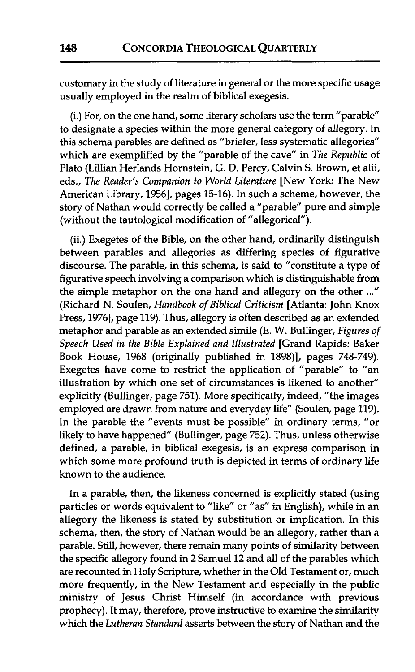customary in the study of literature in general or the more specific usage usually employed in the realm of biblical exegesis.

(i.) For, on the one hand, some literary scholars use the term "parable" to designate a species within the more general category of allegory. In this schema parables are defined as "briefer, less systematic allegories" which are exemplified by the "parable of the cave" in *The Republic* of Plato (Lillian Herlands Hornstein, G. D. Percy, Calvin S. Brown, et **alii,**  eds., *The Reader's Companion to World Literature* [New York: The New American Library, 1956], pages 15-16). In such a scheme, however, the story of Nathan would correctly be called a "parable" pure and simple (without the tautological modification of "allegorical").

(ii.) Exegetes of the Bible, on the other hand, ordinarily distinguish between parables and allegories as differing species of figurative discourse. The parable, in this schema, is said to "constitute a type of figurative speech involving a comparison which is distinguishable from the simple metaphor on the one hand and allegory on the other ..." (Richard N. Soulen, *Handbook of Biblical Criticism* [Atlanta: John Knox Press, 1976], page 119). Thus, allegory is often described as an extended metaphor and parable as an extended simile (E. W. Bullinger, *Figures of Speech Used in the Bible Explained and Illustrated* [Grand Rapids: Baker Book House, 1968 (originally published in 1898)], pages 748-749). Exegetes have come to restrict the application of "parable" to "an illustration by which one set of circumstances is likened to another" explicitly (Bullinger, page 751). More specifically, indeed, "the images employed are drawn from nature and everyday life" (Soulen, page 119). In the parable the "events must be possible" in ordinary terms, "or likely to have happened" (Bullinger, page 752). Thus, unless otherwise defined, a parable, in biblical exegesis, is an express comparison in which some more profound truth is depicted in terms of ordinary life known to the audience.

In a parable, then, the likeness concerned is explicitly stated (using particles or words equivalent to "like" or "as" in English), while in an allegory the likeness is stated by substitution or implication. In this schema, then, the story of Nathan would be an allegory, rather than a parable. Still, however, there remain many points of similarity between the specific allegory found in 2 Samuel 12 and all of the parables which are recounted in Holy Scripture, whether in the Old Testament or, much more frequently, in the New Testament and especially in the public ministry of Jesus Christ Himself (in accordance with previous prophecy). It may, therefore, prove instructive to examine the similarity which the *Lutheran Standard* asserts between the story of Nathan and the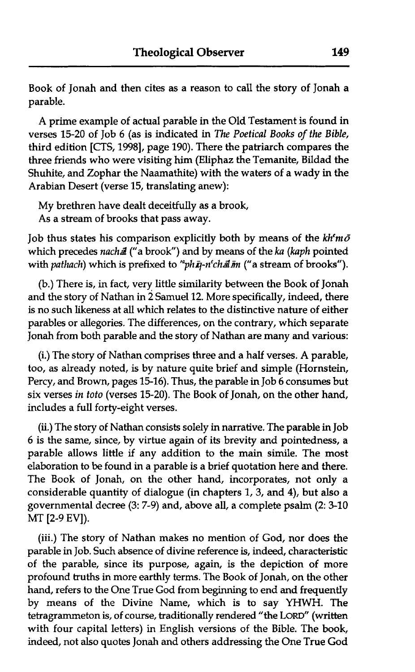Book of Jonah and then cites as a reason to call the story of Jonah a parable.

A prime example of actual parable in the Old Testament is found in verses 15-20 of Job 6 (as is indicated in The Poetical Books of the Bible, third edition [CTS, 19981, page 190). There the patriarch compares the three friends who were visiting him (Eliphaz the Temanite, Bildad the Shuhite, and Zophar the Naamathite) with the waters of a wady in the Arabian Desert (verse 15, translating anew):

My brethren have dealt deceitfully as a brook, As a stream of brooks that pass away.

Job thus states his comparison explicitly both by means of the  $kh<sup>e</sup>m\bar{o}$ which precedes nachal ("a brook") and by means of the ka (kaph pointed with pathach) which is prefixed to "ph $\bar{n}$ -n'chal $\bar{m}$  ("a stream of brooks").

(b.) There is, in fact, very little similarity between the Book of Jonah and the story of Nathan in 2 Samuel 12. More specifically, indeed, there is no such likeness at all which relates to the distinctive nature of either parables or allegories. The differences, on the contrary, which separate Jonah from both parable and the story of Nathan are many and various:

(i.) The story of Nathan comprises three and a half verses. A parable, too, as already noted, is by nature quite brief and simple (Hornstein, Percy, and Brown, pages 15-16). Thus, the parable in Job 6 consumes but six verses in toto (verses 15-20). The Book of Jonah, on the other hand, includes a full forty-eight verses.

**(ii.)** The story of Nathan consists solely in narrative. The parable in Job 6 is the same, since, by virtue again of its brevity and pointedness, a parable allows little if any addition to the main simile. The most elaboration to be found in a parable is a brief quotation here and there. The Book of Jonah, on the other hand, incorporates, not only a considerable quantity of dialogue (in chapters 1, 3, and 4), but also a governmental decree (3: 7-9) and, above all, a complete psalm (2: 3-10 MT [2-9 **EV]).** 

(iii.) The story of Nathan makes no mention of God, nor does the parable in Job. Such absence of divine reference is, indeed, characteristic of the parable, since its purpose, again, is the depiction of more profound truths in more earthly terms. The Book of Jonah, on the other hand, refers to the One True God from beginning to end and frequently by means of the Divine Name, which is to say YHWH. The tetragrammeton is, of course, traditionally rendered "the **LORD"** (written with four capital letters) in English versions of the Bible. The book, indeed, not also quotes Jonah and others addressing the One True God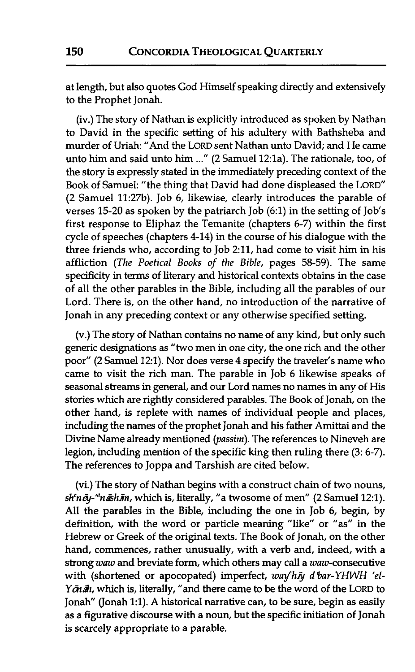at length, but also quotes God Himself speaking directly and extensively to the Prophet Jonah.

(iv.) The story of Nathan is explicitly introduced as spoken by Nathan to David in the specific setting of his adultery with Bathsheba and murder of Uriah: "And the LORD sent Nathan unto David; and He came unto him and said unto him ..." (2 Samuel 12:la). The rationale, too, of the story is expressly stated in the immediately preceding context of the Book of Samuel: "the thing that David had done displeased the LORD" (2 Samuel 11:27b). Job 6, likewise, clearly introduces the parable of verses 15-20 as spoken by the patriarch Job (6:l) in the setting of Job's first response to Eliphaz the Temanite (chapters 6-7) within the first cycle of speeches (chapters 4-14) in the course of his dialogue with the three friends who, according to Job 2:11, had come to visit him in his affliction (The Poetical Books of the Bible, pages 58-59). The same specificity in terms of literary and historical contexts obtains in the case of all the other parables in the Bible, including all the parables of our Lord. There is, on the other hand, no introduction of the narrative of Jonah in any preceding context or any otherwise specified setting.

(v.) The story of Nathan contains no name of any kind, but only such generic designations as "two men in one city, the one rich and the other poor" (2 Samuel 12:1). Nor does verse 4 specify the traveler's name who came to visit the rich man. The parable in Job 6 likewise speaks of seasonal streams in general, and our Lord names no names in any of His stories which are rightly considered parables. The Book of Jonah, on the other hand, is replete with names of individual people and places, including the names of the prophet Jonah and his father **Amittai** and the Divine Name already mentioned (passim). The references to Nineveh are legion, including mention of the specific king then ruling there **(3:** 6-7). The references to Joppa and Tarshish are cited below.

(vi.) The story of Nathan **begins** with a construct chain of two nouns, sh'nēy-"nāshīm, which is, literally, "a twosome of men" (2 Samuel 12:1). **All** the parables in the Bible, including the one in Job 6, begin, by definition, with the word or particle meaning "like" or "as" in the Hebrew or Greek of the original texts. The Book of Jonah, on the other hand, commences, rather unusually, with a verb and, indeed, with a strong waw and breviate form, which others may call a waw-consecutive with (shortened or apocopated) imperfect, way'hn d'bar-YHWH 'el-Y  $\tilde{g}_h$  which is, literally, "and there came to be the word of the LORD to Jonah" (Jonah 1:l). A historical narrative can, to be sure, begin as easily as a figurative discourse with a noun, but the specific initiation of Jonah is scarcely appropriate to a parable.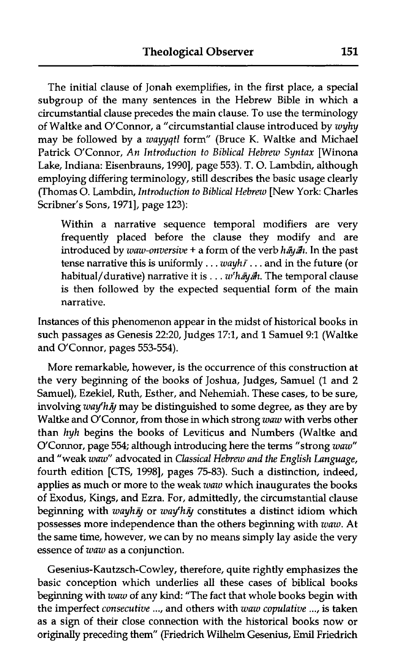The initial clause of Jonah exemplifies, in the first place, a special subgroup of the many sentences in the Hebrew Bible in which a circumstantial clause precedes the main clause. To use the terminology of Waltke and O'Connor, a "circumstantial clause introduced by *wyhy*  may be followed by a *wayyqtl* form" (Bruce *K.* Waltke and Michael Patrick O'Connor, *An Introduction to Biblical Hebrew Syntax* [Winona Lake, Indiana: Eisenbrauns, 19901, page 553). T. 0. Lambdin, although employing differing terminology, still describes the basic usage clearly (Thomas 0. Lambdin, *Introduction to Biblical Hebrew* [New York: Charles Scribner's Sons, 1971], page 123):

Within a narrative sequence temporal modifiers are very frequently placed before the clause they modify and are introduced by *waw-onversive* + a form of the verb *hayan*. In the past tense narrative this is uniformly . . . *wayhF* . . . and in the future (or habitual/durative) narrative it is . . . *w<sup>e</sup>hayah*. The temporal clause is then followed by the expected sequential form of the main narrative.

Instances of this phenomenon appear in the midst of historical books in such passages as Genesis 22:20, Judges 17:1, and **1** Samuel 9:l (Waltke and O'Connor, pages 553-554).

More remarkable, however, is the occurrence of this construction at the very beginning of the books of Joshua, Judges, Samuel (1 and 2 Samuel), Ezekiel, Ruth, Esther, and Nehemiah. These cases, to be sure, involving *way'hij* may be distinguished to some degree, as they are by Waltke and O'Connor, from those in which strong *waw* with verbs other than *hyh* begins the books of Leviticus and Numbers (Waltke and O'Connor, page 554; although introducing here the terms "strong *waw"*  and "weak *waw"* advocated in *Classical Hebrew and the English Language,*  fourth edition [CTS, 1998], pages 75-83). Such a distinction, indeed, applies as much or more to the weak *zuaw* which inaugurates the books of Exodus, Kings, and Ezra. For, admittedly, the circumstantial clause beginning with *wayhiy* or *way'hiy* constitutes a distinct idiom which possesses more independence than the others beginning with *waw.* At the same time, however, we can by no means simply lay aside the very essence of *waw* as a conjunction.

Gesenius-Kautzsch-Cowley, therefore, quite rightly emphasizes the basic conception which underlies all these cases of biblical books beginning with *waw* of any kind: "The fact that whole books begin with the imperfect *consecutive* ..., and others with *waw copulative* ..., is taken as a sign of their close connection with the historical books now or originally preceding them" (Friedrich Wilhelrn Gesenius, **Emil** Friedrich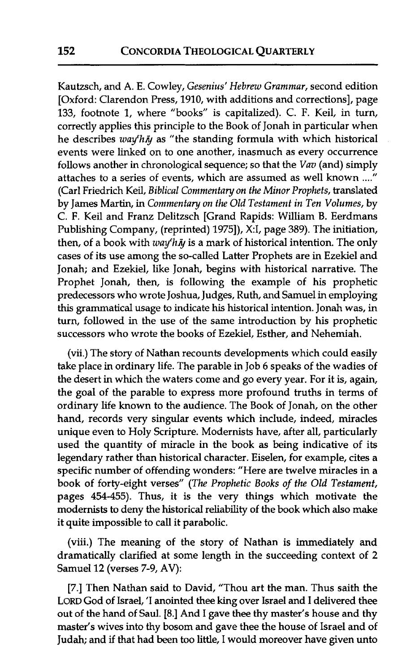Kautzsch, and A. E. Cowley, Gesenius' Hebrew Grammar, second edition [Oxford: Clarendon Press, 1910, with additions and corrections], page 133, footnote 1, where "books" is capitalized). C. F. Keil, in turn, correctly applies this principle to the Book of Jonah in particular when he describes  $way<sup>e</sup>h\bar{y}$  as "the standing formula with which historical events were linked on to one another, inasmuch as every occurrence follows another in chronological sequence; so that the Vav (and) simply attaches to a series of events, which are assumed as well known ...." (Carl Friedrich Keil, Biblical Commentary on the Minor Prophets, translated by James Martin, in Commentary on the Old Testament in Ten Volumes, by C. F. Keil and Franz Delitzsch [Grand Rapids: William B. Eerdmans Publishing Company, (reprinted) 1975]), X:I, page 389). The initiation, then, of a book with  $way'h\bar{y}$  is a mark of historical intention. The only cases of its use among the so-called Latter Prophets are in Ezekiel and Jonah; and Ezekiel, like Jonah, begins with historical narrative. The Prophet Jonah, then, is following the example of his prophetic predecessors who wrote Joshua, Judges, Ruth, and Samuel in employing this grammatical usage to indicate his historical intention. Jonah was, in turn, followed in the use of the same introduction by his prophetic successors who wrote the books of Ezekiel, Esther, and Nehemiah.

(vii.) The story of Nathan recounts developments which could easily take place in ordinary life. The parable in Job *6* speaks of the wadies of the desert in which the waters come and go every year. For it is, again, the goal of the parable to express more profound truths in terms of ordinary life known to the audience. The Book of Jonah, on the other hand, records very singular events which include, indeed, miracles unique even to Holy Scripture. Modernists have, after all, particularly used the quantity of miracle in the book as being indicative of its legendary rather than historical character. Eiselen, for example, cites a specific number of offending wonders: "Here are twelve miracles in a book of forty-eight verses" (The Prophetic Books of the Old Testament, pages 454-455). Thus, it is the very things which motivate the modernists to deny the historical reliability of the book which also make it quite impossible to call it parabolic.

(viii.) The meaning of the story of Nathan is immediately and dramatically clarified at some length in the succeeding context of **2**  Samuel **12** (verses 7-9, AV):

[7.] Then Nathan said to David, "Thou art the man. Thus saith the LORD God of Israel, 'I anointed thee king over Israel and I delivered thee out of the hand of Saul. [8.] And I gave thee thy master's house and thy master's wives into thy bosom and gave thee the house of Israel and of Judah; and if that had been too little, I would moreover have given unto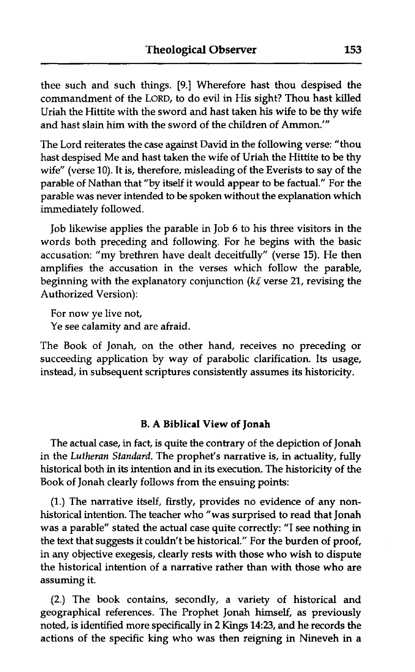thee such and such things. **[9.]** Wherefore hast thou despised the commandment of the LORD, to do evil in His sight? Thou hast killed Uriah the Hittite with the sword and hast taken his wife to be thy wife and hast slain him with the sword of the children of Ammon.'"

The Lord reiterates the case against David in the following verse: "thou hast despised Me and hast taken the wife of Uriah the Hittite to be thy wife" (verse 10). It is, therefore, misleading of the Everists to say of the parable of Nathan that "by itself it would appear to be factual." For the parable was never intended to be spoken without the explanation which immediately followed.

Job likewise applies the parable in Job 6 to his three visitors in the words both preceding and following. For he begins with the basic accusation: "my brethren have dealt deceitfully" (verse 15). He then amplifies the accusation in the verses which follow the parable, beginning with the explanatory conjunction *(k5* verse 21, revising the Authorized Version):

For now ye live not, Ye see calamity and are afraid.

The Book of Jonah, on the other hand, receives no preceding or succeeding application by way of parabolic clarification. Its usage, instead, in subsequent scriptures consistently assumes its historicity.

#### **B. A Biblical View of Jonah**

The actual case, in fact, is quite the contrary of the depiction of Jonah in the *Lutheran Standard.* The prophet's narrative is, in actuality, fully historical both in its intention and in its execution. The historicity of the Book of Jonah clearly follows from the ensuing points:

(1.) The narrative itself, firstly, provides no evidence of any nonhistorical intention. The teacher who "was surprised to read that Jonah was a parable" stated the actual case quite correctly: "I see nothing in the text that suggests it couldn't be historical." For the burden of proof, in any objective exegesis, clearly rests with those who wish to dispute the historical intention of a narrative rather than with those who are assuming it.

(2.) The book contains, secondly, a variety of historical and geographical references. The Prophet Jonah himself, as previously noted, is identified more specifically in 2 **Kings 1423,** and he records the actions of the specific king who was then reigning in Nineveh in a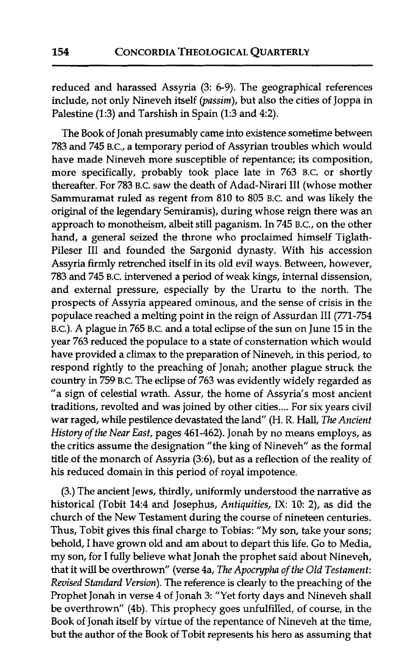reduced and harassed Assyria (3: 6-9). The geographical references include, not only Nineveh itself (passim), but also the cities of Joppa in Palestine (1:3) and Tarshish in Spain (1:3 and 4:2).

The Book of Jonah presumably came into existence sometime between 783 and 745 B.c., a temporary period of Assyrian troubles which would have made Nineveh more susceptible of repentance; its composition, more specifically, probably took place late in 763 B.C. or shortly thereafter. For 783 B.C. saw the death of Adad-Nirari I11 (whose mother Sammuramat ruled as regent from 810 to 805 B.C. and was likely the original of the legendary Semiramis), during whose reign there was an approach to monotheism, albeit still paganism. In 745 B.c., on the other hand, a general seized the throne who proclaimed himself Tiglath-Pileser III and founded the Sargonid dynasty. With his accession Assyria firmly retrenched itself in its old evil ways. Between, however, 783 and 745 B.C. intervened a period of weak kings, internal dissension, and external pressure, especially by the Urartu to the north. The prospects of Assyria appeared ominous, and the sense of crisis in the populace reached a melting point in the reign of Assurdan III (771-754 B.C.). A plague in 765 B.C. and a total eclipse of the sun on June 15 in the year 763 reduced the populace to a state of consternation which would have provided a climax to the preparation of Nineveh, in this period, to respond rightly to the preaching of Jonah; another plague struck the country in 759 B.C. The eclipse of 763 was evidently widely regarded as "a sign of celestial wrath. Assur, the home of Assyria's most ancient traditions, revolted and was joined by other cities .... For six years civil war raged, while pestilence devastated the land" (H. R. Hall, *The Ancient* History of *the* Near East, pages 461-462). Jonah by no means employs, as the critics assume the designation "the king of Nineveh" as the formal title of the monarch of Assyria (3:6), but as a reflection of the reality of his reduced domain in this period of royal impotence.

(3.) The ancient Jews, thirdly, uniformly understood the narrative as historical (Tobit 14:4 and Josephus, Antiquities, IX: 10: 2), as did the church of the New Testament during the course of nineteen centuries. Thus, Tobit gives this final charge to Tobias: "My son, take your sons; behold, I have grown old and am about to depart this life. Go to Media, my son, for I fully believe what Jonah the prophet said about Nineveh, that it will be overthrown" (verse 4a, *The* Apocrypha of *the* Old Testament: Revised Standard Version). The reference is clearly to the preaching of the Prophet Jonah in verse 4 of Jonah **3:** "Yet forty days and Nineveh shall be overthrown" (4b). This prophecy goes unfulfilled, of course, in the Book of Jonah itself by virtue of the repentance of Nineveh at the time, but the author of the Book of Tobit represents his hero as assuming that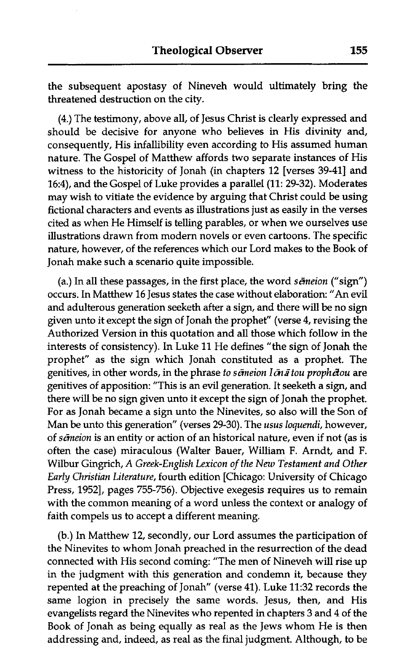the subsequent apostasy of Nineveh would ultimately bring the threatened destruction on the city.

(4.) The testimony, above all, of Jesus Christ is clearly expressed and should be decisive for anyone who believes in His divinity and, consequently, His infallibility even according to His assumed human nature. The Gospel of Matthew affords two separate instances of His witness to the historicity of Jonah (in chapters 12 [verses 39-41] and 16:4), and the Gospel of Luke provides a parallel (11: 29-32). Moderates may wish to vitiate the evidence by arguing that Christ could be using fictional characters and events as illustrations just as easily in the verses cited as when He Himself is telling parables, or when we ourselves use illustrations drawn from modern novels or even cartoons. The specific nature, however, of the references which our Lord makes to the Book of Jonah make such a scenario quite impossible.

(a.) In all these passages, in the first place, the word *sēmeion* ("sign") occurs. In Matthew 16 Jesus states the case without elaboration: "An evil and adulterous generation seeketh after a sign, and there will be no sign given unto it except the sign of Jonah the prophet" (verse 4, revising the Authorized Version in this quotation and all those which follow in the interests of consistency). In Luke 11 He defines "the sign of Jonah the prophet" as the sign which Jonah constituted as a prophet. The genitives, in other words, in the phrase *to semeion I on a tou prophetou* are genitives of apposition: "This is an evil generation. It seeketh a sign, and there will be no sign given unto it except the sign of Jonah the prophet. For as Jonah became a sign unto the Ninevites, so also will the Son of Man be unto this generation" (verses 29-30). The *usus loquendi,* however, of *s&eion* is an entity or action of an historical nature, even if not (as is often the case) miraculous (Walter Bauer, William F. Arndt, and F. Wilbur Gingrich, *A Greek-English Lexicon of the New Testament and Other Early Christian Literature,* fourth edition [Chicago: University of Chicago Press, 19521, pages 755-756). Objective exegesis requires us to remain with the common meaning of a word unless the context or analogy of faith compels us to accept a different meaning.

(b.) In Matthew 12, secondly, our Lord assumes the participation of the Ninevites to whom Jonah preached in the resurrection of the dead connected with His second coming: "The men of Nineveh will rise up in the judgment with this generation and condemn it, because they repented at the preaching of Jonah" (verse 41). Luke 11:32 records the same logion in precisely the same words. Jesus, then, and His evangelists regard the Ninevites who repented in chapters 3 and 4 of the Book of Jonah as being equally as real as the Jews whom He is then addressing and, indeed, as real as the final judgment. Although, to be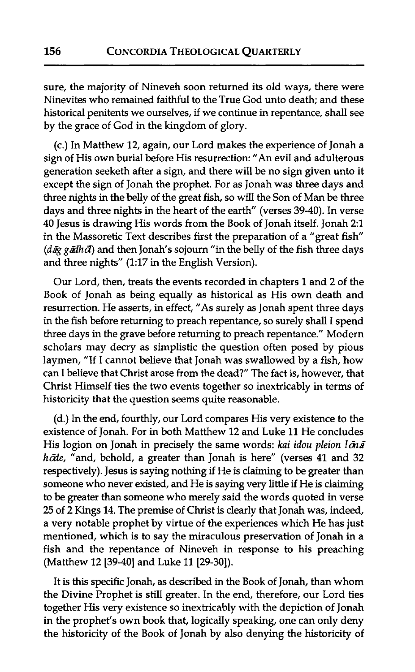sure, the majority of Nineveh soon returned its old ways, there were Ninevites who remained faithful to the True God unto death; and these historical penitents we ourselves, if we continue in repentance, shall see by the grace of God in the kingdom of glory.

(c.) In Matthew 12, again, our Lord makes the experience of Jonah a sign of His own burial before His resurrection: "An evil and adulterous generation seeketh after a sign, and there will be no sign given unto it except the sign of Jonah the prophet. For as Jonah was three days and three nights in the belly of the great fish, so will the Son of Man be three days and three nights in the heart of the earth" (verses 39-40). In verse 40 Jesus is drawing His words from the Book of Jonah itself. Jonah 21 in the Massoretic Text describes first the preparation of a "great fish  $(d\bar{a}g g\bar{a}dhd)$  and then Jonah's sojourn "in the belly of the fish three days and three nights" (1:17 in the English Version).

Our Lord, then, treats the events recorded in chapters 1 and **2** of the Book of Jonah as being equally as historical as His own death and resurrection. He asserts, in effect, "As surely as Jonah spent three days in the fish before returning to preach repentance, so surely shall I spend three days in the grave before returning to preach repentance." Modern scholars may decry as simplistic the question often posed by pious laymen, "If I cannot believe that Jonah was swallowed by a fish, how can I believe that Christ arose from the dead?" The fact is, however, that Christ Himself ties the two events together so inextricably in terms of historicity that the question seems quite reasonable.

(d.) In the end, fourthly, our Lord compares His very existence to the existence of Jonah. For in both Matthew 12 and Luke 11 He concludes His logion on Jonah in precisely the same words: **kai** idou pleion *Idizi*  hode, "and, behold, a greater than Jonah is here" (verses 41 and 32 respectively). Jesus is saying nothing if He is claiming to be greater than someone who never existed, and He is saying very little if He is claiming to be greater than someone who merely said the words quoted in verse 25 of 2 Kings 14. The premise of Christ is clearly that Jonah was, indeed, a very notable prophet by virtue of the experiences which He has just mentioned, which is to say the miraculous preservation of Jonah in a fish and the repentance of Nineveh in response to his preaching (Matthew 12 [39-40] and Luke 11 [29-30]).

It is this specific Jonah, as described in the Book of Jonah, than whom the Divine Prophet is still greater. In the end, therefore, our Lord ties together His very existence so inextricably with the depiction of Jonah in the prophet's own book that, logically speaking, one can only deny the historicity of the Book of Jonah by also denying the historicity of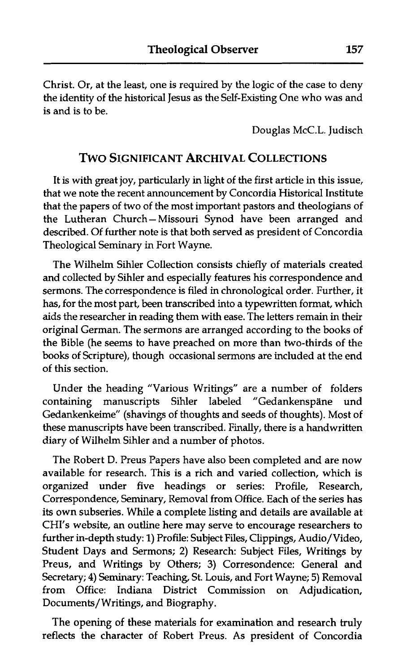Christ. Or, at the least, one is required by the logic of the case to deny the identity of the historical Jesus as the Self-Existing One who was and is and is to be.

Douglas McC.L. Judisch

### **TWO SIGNIFICANT ARCHIVAL COLLECTIONS**

It is with great joy, particularly in light of the first article in this issue, that we note the recent announcement by Concordia Historical Institute that the papers of two of the most important pastors and theologians of the Lutheran Church-Missouri Synod have been arranged and described. Of further note is that both served as president of Concordia Theological Seminary in Fort Wayne.

The Wilhelm Sihler Collection consists chiefly of materials created and collected by Sihler and especially features his correspondence and sermons. The correspondence is filed in chronological order. Further, it has, for the most part, been transcribed into a typewritten format, which aids the researcher in reading them with ease. The letters remain in their original German. The sermons are arranged according to the books of the Bible (he seems to have preached on more than two-thirds of the books of Scripture), though occasional sermons are included at the end of this section.

Under the heading "Various Writings" are a number of folders containing manuscripts Sihler labeled "Gedankenspäne und Gedankenkeime" (shavings of thoughts and seeds of thoughts). Most of these manuscripts have been transcribed. Finally, there is a handwritten diary of Wilhelm Sihler and a number of photos.

The Robert D. Preus Papers have also been completed and are now available for research. This is a rich and varied collection, which is organized under five headings or series: Profile, Research, Correspondence, Seminary, Removal from Office. Each of the series has its own subseries. While a complete listing and details are available at CHI'S website, an outline here may serve to encourage researchers to further in-depth study: **1)** Profile: Subject Files, Clippings, Audio/Video, Student Days and Sermons; **2)** Research: Subject Files, Writings by Preus, and Writings by Others; **3)** Corresondence: General and Secretary; 4) Seminary: Teaching, St. Louis, and Fort Wayne; 5) Removal from Office: Indiana District Commission on Adjudication, Documents/ Writings, and Biography.

The opening of these materials for examination **and** research truly reflects the character of Robert Preus. As president of Concordia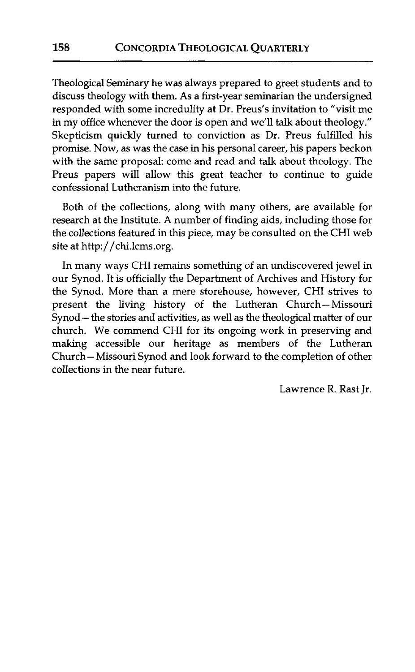Theological Seminary he was always prepared to greet students and to discuss theoIogy with them. As a first-year seminarian the undersigned responded with some incredulity at Dr. Preus's invitation to "visit me in my office whenever the door is open and we'll talk about theology." Skepticism quickly turned to conviction as Dr. Preus fulfilled his promise. Now, as was the case in his personal career, his papers beckon with the same proposal: come and read and talk about theology. The Preus papers will allow this great teacher to continue to guide confessional Lutheranism into the future.

Both of the collections, along with many others, are available for research at the Institute. A number of finding aids, including those for the collections featured in this piece, may be consulted on the CHI web site at http://chi.lcms.org.

In many ways CHI remains something of an undiscovered jewel in our Synod. It is officially the Department of Archives and History for the Synod. More than a mere storehouse, however, CHI strives to present the living history of the Lutheran Church-Missouri Synod - the stories and activities, as well as the theological matter of our church. We commend CHI for its ongoing work in preserving and making accessible our heritage as members of the Lutheran Church- Missouri Synod and look forward to the completion of other collections in the near future.

Lawrence R. Rast Jr.